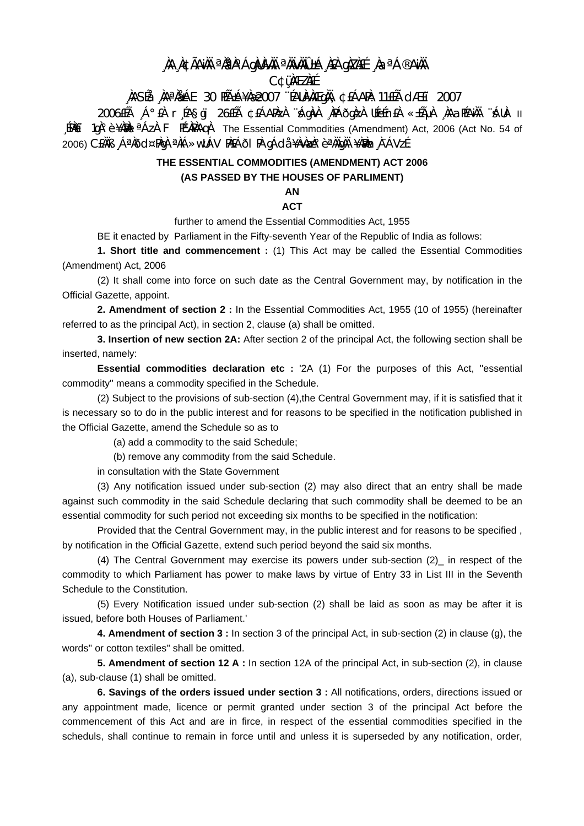## , NA NGÃANH <sup>a</sup>ntho Ághunah <sup>a</sup>nivhio±á nea giznee na <sup>a Go</sup>anh **C¢üMEZNEE**

### NASÍA NA NA LE 30 HÁ±Á¥NA2007 "ÉAUNA EGNA CEÁARA: 11EÍA CLÆET 2007

2006EEA A°EA réasoi 26EEA ¢EÁAPAZA Adava APÁÕOAZA UEEEnEA «±EAUA AAƏPEANA AUA- II EPAET 10A° è ¥AMBL<sup>a</sup> AZA F PEMPARADA The Essential Commodities (Amendment) Act. 2006 (Act No. 54 of 2006) CEÀÏB "ÁªÀÕd¤PÀqÀ ªÀiÁ»wUÁV PÀEÁÕI PÀ qÁdå ¥ÀvÀæÀ°èªÀÄqÀÄ ¥ÀÐÀn À¯ÁVzÉ.

## THE ESSENTIAL COMMODITIES (AMENDMENT) ACT 2006 (AS PASSED BY THE HOUSES OF PARLIMENT)

# AN

### **ACT**

further to amend the Essential Commodities Act, 1955

BE it enacted by Parliament in the Fifty-seventh Year of the Republic of India as follows:

1. Short title and commencement : (1) This Act may be called the Essential Commodities (Amendment) Act, 2006

(2) It shall come into force on such date as the Central Government may, by notification in the Official Gazette, appoint.

2. Amendment of section 2 : In the Essential Commodities Act, 1955 (10 of 1955) (hereinafter referred to as the principal Act), in section 2, clause (a) shall be omitted.

3. Insertion of new section 2A: After section 2 of the principal Act, the following section shall be inserted, namely:

Essential commodities declaration etc : '2A (1) For the purposes of this Act, "essential commodity" means a commodity specified in the Schedule.

(2) Subject to the provisions of sub-section (4), the Central Government may, if it is satisfied that it is necessary so to do in the public interest and for reasons to be specified in the notification published in the Official Gazette, amend the Schedule so as to

(a) add a commodity to the said Schedule;

(b) remove any commodity from the said Schedule.

in consultation with the State Government

(3) Any notification issued under sub-section (2) may also direct that an entry shall be made against such commodity in the said Schedule declaring that such commodity shall be deemed to be an essential commodity for such period not exceeding six months to be specified in the notification:

Provided that the Central Government may, in the public interest and for reasons to be specified, by notification in the Official Gazette, extend such period beyond the said six months.

(4) The Central Government may exercise its powers under sub-section (2) in respect of the commodity to which Parliament has power to make laws by virtue of Entry 33 in List III in the Seventh Schedule to the Constitution.

(5) Every Notification issued under sub-section (2) shall be laid as soon as may be after it is issued, before both Houses of Parliament.'

4. Amendment of section 3 : In section 3 of the principal Act, in sub-section (2) in clause (g), the words" or cotton textiles" shall be omitted.

5. Amendment of section 12 A : In section 12A of the principal Act, in sub-section (2), in clause (a), sub-clause (1) shall be omitted.

6. Savings of the orders issued under section 3 : All notifications, orders, directions issued or any appointment made, licence or permit granted under section 3 of the principal Act before the commencement of this Act and are in firce, in respect of the essential commodities specified in the scheduls, shall continue to remain in force until and unless it is superseded by any notification, order,